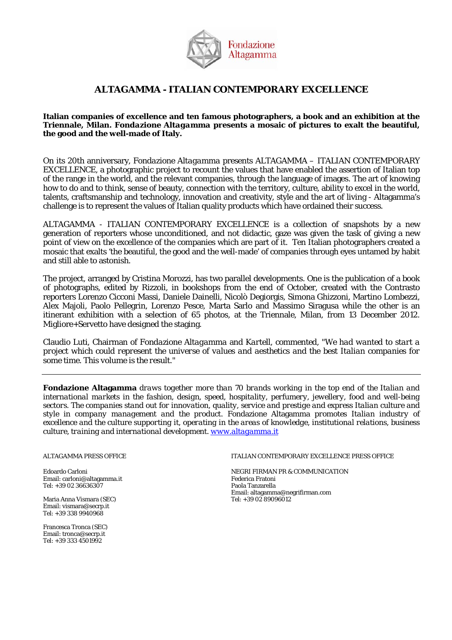

**Italian companies of excellence and ten famous photographers, a book and an exhibition at the Triennale, Milan.** *Fondazione Altagamma* **presents a mosaic of pictures to exalt the beautiful, the good and the well-made of Italy.**

On its 20th anniversary, *Fondazione Altagamma* presents ALTAGAMMA – ITALIAN CONTEMPORARY EXCELLENCE, a photographic project to recount the values that have enabled the assertion of Italian top of the range in the world, and the relevant companies, through the language of images. The art of knowing how to do and to think, sense of beauty, connection with the territory, culture, ability to excel in the world, talents, craftsmanship and technology, innovation and creativity, style and the art of living - Altagamma's challenge is to represent the values of Italian quality products which have ordained their success.

ALTAGAMMA - ITALIAN CONTEMPORARY EXCELLENCE is a collection of snapshots by a new generation of reporters whose unconditioned, and not didactic, gaze was given the task of giving a new point of view on the excellence of the companies which are part of it. Ten Italian photographers created a mosaic that exalts 'the beautiful, the good and the well-made' of companies through eyes untamed by habit and still able to astonish.

The project, arranged by Cristina Morozzi, has two parallel developments. One is the publication of a book of photographs, edited by Rizzoli, in bookshops from the end of October, created with the Contrasto reporters Lorenzo Cicconi Massi, Daniele Dainelli, Nicolò Degiorgis, Simona Ghizzoni, Martino Lombezzi, Alex Majoli, Paolo Pellegrin, Lorenzo Pesce, Marta Sarlo and Massimo Siragusa while the other is an itinerant exhibition with a selection of 65 photos, at the Triennale, Milan, from 13 December 2012. Migliore+Servetto have designed the staging.

Claudio Luti, Chairman of *Fondazione Altagamma* and *Kartell, commented, "We had wanted to start a project which could represent the universe of values and aesthetics and the best Italian companies for some time. This volume is the result."*

**Fondazione Altagamma** *draws together more than 70 brands working in the top end of the Italian and international markets in the fashion, design, speed, hospitality, perfumery, jewellery, food and well-being sectors. The companies stand out for innovation, quality, service and prestige and express Italian culture and style in company management and the product.* Fondazione Altagamma *promotes Italian industry of excellence and the culture supporting it, operating in the areas of knowledge, institutional relations, business culture, training and international development. [www.altagamma.it](http://www.altagamma.it/)*

Email: carloni@altagamma.it Federica Fratoni Tel: +39 02 36636307

Maria Anna Vismara (SEC) Email: vismara@secrp.it Tel: +39 338 9940968

Francesca Tronca (SEC) Email: tronca@secrp.it Tel: +39 333 4501992

#### ALTAGAMMA PRESS OFFICE **ITALIAN CONTEMPORARY EXCELLENCE PRESS OFFICE**

Edoardo Carloni *Edoardo Carloni* Email: carloni *NEGRI FIRMAN PR & COMMUNICATION*<br>Email: carloni@altagamma.it Email: altagamma@negrifirman.com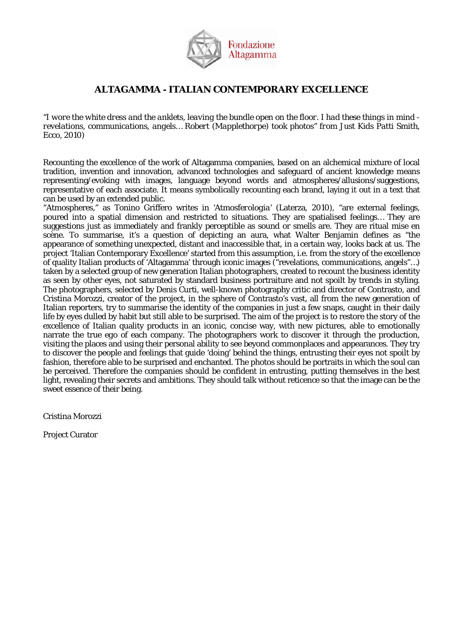

*"I wore the white dress and the anklets, leaving the bundle open on the floor. I had these things in mind revelations, communications, angels… Robert (Mapplethorpe) took photos" from Just Kids Patti Smith, Ecco, 2010)*

Recounting the excellence of the work of Altagamma companies, based on an alchemical mixture of local tradition, invention and innovation, advanced technologies and safeguard of ancient knowledge means representing/evoking with images, language beyond words and atmospheres/allusions/suggestions, representative of each associate. It means symbolically recounting each brand, laying it out in a text that can be used by an extended public.

"Atmospheres," as Tonino Griffero writes in *'Atmosferologia'* (Laterza, 2010), "are external feelings, poured into a spatial dimension and restricted to situations. They are spatialised feelings… They are suggestions just as immediately and frankly perceptible as sound or smells are. They are ritual *mise en scène*. To summarise, it's a question of depicting an aura, what Walter Benjamin defines as "the appearance of something unexpected, distant and inaccessible that, in a certain way, looks back at us. The project 'Italian Contemporary Excellence' started from this assumption, i.e. from the story of the excellence of quality Italian products of 'Altagamma' through iconic images ("revelations, communications, angels"…) taken by a selected group of new generation Italian photographers, created to recount the business identity as seen by other eyes, not saturated by standard business portraiture and not spoilt by trends in styling. The photographers, selected by Denis Curti, well-known photography critic and director of Contrasto, and Cristina Morozzi, creator of the project, in the sphere of Contrasto's vast, all from the new generation of Italian reporters, try to summarise the identity of the companies in just a few snaps, caught in their daily life by eyes dulled by habit but still able to be surprised. The aim of the project is to restore the story of the excellence of Italian quality products in an iconic, concise way, with new pictures, able to emotionally narrate the true *ego* of each company. The photographers work to discover it through the production, visiting the places and using their personal ability to see beyond commonplaces and appearances. They try to discover the people and feelings that guide 'doing' behind the things, entrusting their eyes not spoilt by fashion, therefore able to be surprised and enchanted. The photos should be portraits in which the soul can be perceived. Therefore the companies should be confident in entrusting, putting themselves in the best light, revealing their secrets and ambitions. They should talk without reticence so that the image can be the sweet essence of their being.

Cristina Morozzi

Project Curator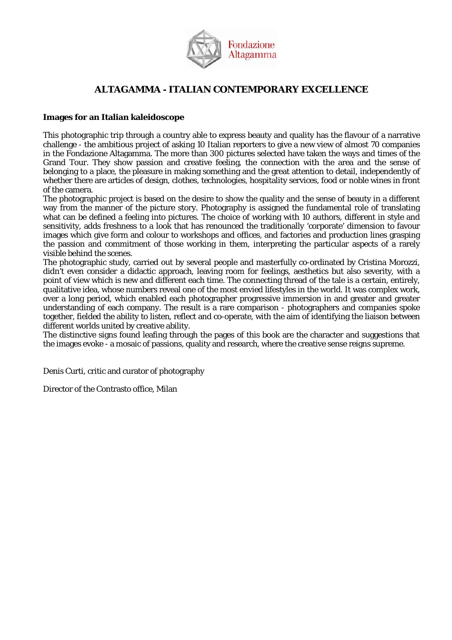

## **Images for an Italian kaleidoscope**

This photographic trip through a country able to express beauty and quality has the flavour of a narrative challenge - the ambitious project of asking 10 Italian reporters to give a new view of almost 70 companies in the Fondazione Altagamma. The more than 300 pictures selected have taken the ways and times of the Grand Tour. They show passion and creative feeling, the connection with the area and the sense of belonging to a place, the pleasure in making something and the great attention to detail, independently of whether there are articles of design, clothes, technologies, hospitality services, food or noble wines in front of the camera.

The photographic project is based on the desire to show the quality and the sense of beauty in a different way from the manner of the picture story. Photography is assigned the fundamental role of translating what can be defined a feeling into pictures. The choice of working with 10 authors, different in style and sensitivity, adds freshness to a look that has renounced the traditionally 'corporate' dimension to favour images which give form and colour to workshops and offices, and factories and production lines grasping the passion and commitment of those working in them, interpreting the particular aspects of a rarely visible behind the scenes.

The photographic study, carried out by several people and masterfully co-ordinated by Cristina Morozzi, didn't even consider a didactic approach, leaving room for feelings, aesthetics but also severity, with a point of view which is new and different each time. The connecting thread of the tale is a certain, entirely, qualitative idea, whose numbers reveal one of the most envied lifestyles in the world. It was complex work, over a long period, which enabled each photographer progressive immersion in and greater and greater understanding of each company. The result is a rare comparison - photographers and companies spoke together, fielded the ability to listen, reflect and co-operate, with the aim of identifying the liaison between different worlds united by creative ability.

The distinctive signs found leafing through the pages of this book are the character and suggestions that the images evoke - a mosaic of passions, quality and research, where the creative sense reigns supreme.

Denis Curti, critic and curator of photography

Director of the Contrasto office, Milan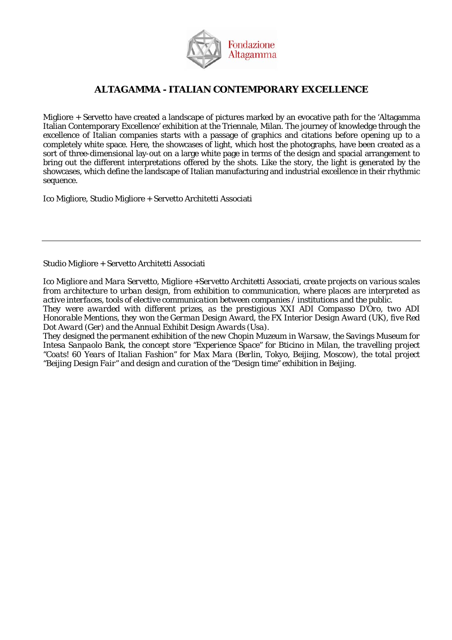

Migliore + Servetto have created a landscape of pictures marked by an evocative path for the 'Altagamma Italian Contemporary Excellence' exhibition at the Triennale, Milan. The journey of knowledge through the excellence of Italian companies starts with a passage of graphics and citations before opening up to a completely white space. Here, the showcases of light, which host the photographs, have been created as a sort of three-dimensional lay-out on a large white page in terms of the design and spacial arrangement to bring out the different interpretations offered by the shots. Like the story, the light is generated by the showcases, which define the landscape of Italian manufacturing and industrial excellence in their rhythmic sequence.

Ico Migliore, Studio Migliore + Servetto Architetti Associati

## Studio Migliore + Servetto Architetti Associati

*Ico Migliore and Mara Servetto, Migliore +Servetto Architetti Associati, create projects on various scales from architecture to urban design, from exhibition to communication, where places are interpreted as active interfaces, tools of elective communication between companies / institutions and the public.*

*They were awarded with different prizes, as the prestigious XXI ADI Compasso D'Oro, two ADI Honorable Mentions, they won the German Design Award, the FX Interior Design Award (UK), five Red Dot Award (Ger) and the Annual Exhibit Design Awards (Usa).*

*They designed the permanent exhibition of the new Chopin Muzeum in Warsaw, the Savings Museum for Intesa Sanpaolo Bank, the concept store "Experience Space" for Bticino in Milan, the travelling project "Coats! 60 Years of Italian Fashion" for Max Mara (Berlin, Tokyo, Beijing, Moscow), the total project "Beijing Design Fair" and design and curation of the "Design time" exhibition in Beijing.*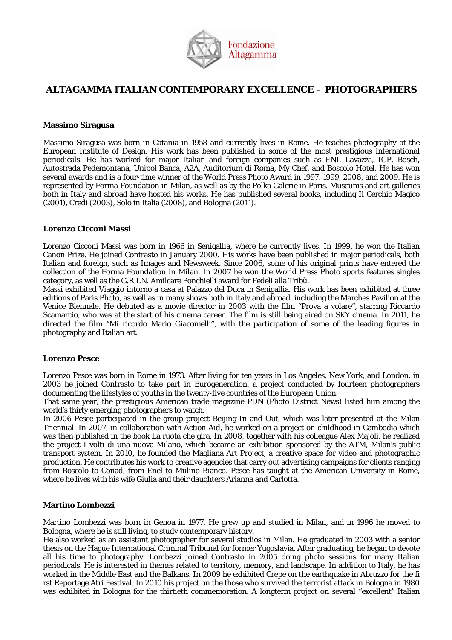

# **ALTAGAMMA ITALIAN CONTEMPORARY EXCELLENCE – PHOTOGRAPHERS**

#### **Massimo Siragusa**

Massimo Siragusa was born in Catania in 1958 and currently lives in Rome. He teaches photography at the European Institute of Design. His work has been published in some of the most prestigious international periodicals. He has worked for major Italian and foreign companies such as ENI, Lavazza, IGP, Bosch, Autostrada Pedemontana, Unipol Banca, A2A, Auditorium di Roma, My Chef, and Boscolo Hotel. He has won several awards and is a four-time winner of the World Press Photo Award in 1997, 1999, 2008, and 2009. He is represented by Forma Foundation in Milan, as well as by the Polka Galerie in Paris. Museums and art galleries both in Italy and abroad have hosted his works. He has published several books, including Il Cerchio Magico (2001), Credi (2003), Solo in Italia (2008), and Bologna (2011).

#### **Lorenzo Cicconi Massi**

Lorenzo Cicconi Massi was born in 1966 in Senigallia, where he currently lives. In 1999, he won the Italian Canon Prize. He joined Contrasto in January 2000. His works have been published in major periodicals, both Italian and foreign, such as Images and Newsweek. Since 2006, some of his original prints have entered the collection of the Forma Foundation in Milan. In 2007 he won the World Press Photo sports features singles category, as well as the G.R.I.N. Amilcare Ponchielli award for Fedeli alla Tribù.

Massi exhibited Viaggio intorno a casa at Palazzo del Duca in Senigallia. His work has been exhibited at three editions of Paris Photo, as well as in many shows both in Italy and abroad, including the Marches Pavilion at the Venice Biennale. He debuted as a movie director in 2003 with the film "Prova a volare", starring Riccardo Scamarcio, who was at the start of his cinema career. The film is still being aired on SKY cinema. In 2011, he directed the film "Mi ricordo Mario Giacomelli", with the participation of some of the leading figures in photography and Italian art.

## **Lorenzo Pesce**

Lorenzo Pesce was born in Rome in 1973. After living for ten years in Los Angeles, New York, and London, in 2003 he joined Contrasto to take part in Eurogeneration, a project conducted by fourteen photographers documenting the lifestyles of youths in the twenty-five countries of the European Union.

That same year, the prestigious American trade magazine PDN (Photo District News) listed him among the world's thirty emerging photographers to watch.

In 2006 Pesce participated in the group project Beijing In and Out, which was later presented at the Milan Triennial. In 2007, in collaboration with Action Aid, he worked on a project on childhood in Cambodia which was then published in the book La ruota che gira. In 2008, together with his colleague Alex Majoli, he realized the project I volti di una nuova Milano, which became an exhibition sponsored by the ATM, Milan's public transport system. In 2010, he founded the Magliana Art Project, a creative space for video and photographic production. He contributes his work to creative agencies that carry out advertising campaigns for clients ranging from Boscolo to Conad, from Enel to Mulino Bianco. Pesce has taught at the American University in Rome, where he lives with his wife Giulia and their daughters Arianna and Carlotta.

## **Martino Lombezzi**

Martino Lombezzi was born in Genoa in 1977. He grew up and studied in Milan, and in 1996 he moved to Bologna, where he is still living, to study contemporary history.

He also worked as an assistant photographer for several studios in Milan. He graduated in 2003 with a senior thesis on the Hague International Criminal Tribunal for former Yugoslavia. After graduating, he began to devote all his time to photography. Lombezzi joined Contrasto in 2005 doing photo sessions for many Italian periodicals. He is interested in themes related to territory, memory, and landscape. In addition to Italy, he has worked in the Middle East and the Balkans. In 2009 he exhibited Crepe on the earthquake in Abruzzo for the fi rst Reportage Atri Festival. In 2010 his project on the those who survived the terrorist attack in Bologna in 1980 was exhibited in Bologna for the thirtieth commemoration. A longterm project on several "excellent" Italian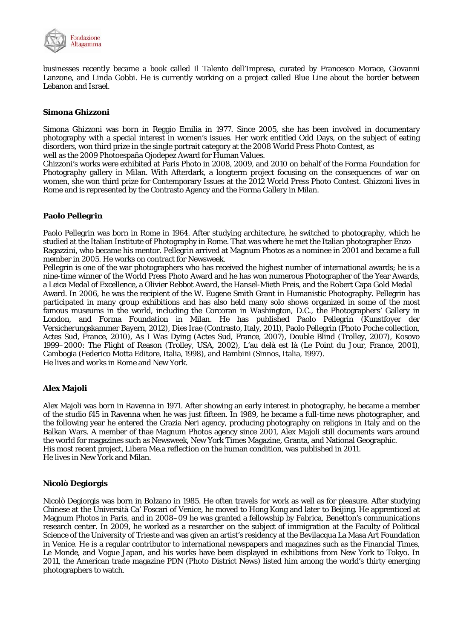

businesses recently became a book called Il Talento dell'Impresa, curated by Francesco Morace, Giovanni Lanzone, and Linda Gobbi. He is currently working on a project called Blue Line about the border between Lebanon and Israel.

## **Simona Ghizzoni**

Simona Ghizzoni was born in Reggio Emilia in 1977. Since 2005, she has been involved in documentary photography with a special interest in women's issues. Her work entitled Odd Days, on the subject of eating disorders, won third prize in the single portrait category at the 2008 World Press Photo Contest, as well as the 2009 Photoespaña Ojodepez Award for Human Values.

Ghizzoni's works were exhibited at Paris Photo in 2008, 2009, and 2010 on behalf of the Forma Foundation for Photography gallery in Milan. With Afterdark, a longterm project focusing on the consequences of war on women, she won third prize for Contemporary Issues at the 2012 World Press Photo Contest. Ghizzoni lives in Rome and is represented by the Contrasto Agency and the Forma Gallery in Milan.

## **Paolo Pellegrin**

Paolo Pellegrin was born in Rome in 1964. After studying architecture, he switched to photography, which he studied at the Italian Institute of Photography in Rome. That was where he met the Italian photographer Enzo Ragazzini, who became his mentor. Pellegrin arrived at Magnum Photos as a nominee in 2001 and became a full member in 2005. He works on contract for Newsweek.

Pellegrin is one of the war photographers who has received the highest number of international awards; he is a nine-time winner of the World Press Photo Award and he has won numerous Photographer of the Year Awards, a Leica Medal of Excellence, a Olivier Rebbot Award, the Hansel-Mieth Preis, and the Robert Capa Gold Medal Award. In 2006, he was the recipient of the W. Eugene Smith Grant in Humanistic Photography. Pellegrin has participated in many group exhibitions and has also held many solo shows organized in some of the most famous museums in the world, including the Corcoran in Washington, D.C., the Photographers' Gallery in London, and Forma Foundation in Milan. He has published Paolo Pellegrin (Kunstfoyer der Versicherungskammer Bayern, 2012), Dies Irae (Contrasto, Italy, 2011), Paolo Pellegrin (Photo Poche collection, Actes Sud, France, 2010), As I Was Dying (Actes Sud, France, 2007), Double Blind (Trolley, 2007), Kosovo 1999–2000: The Flight of Reason (Trolley, USA, 2002), L'au delà est là (Le Point du Jour, France, 2001), Cambogia (Federico Motta Editore, Italia, 1998), and Bambini (Sinnos, Italia, 1997). He lives and works in Rome and New York.

## **Alex Majoli**

Alex Majoli was born in Ravenna in 1971. After showing an early interest in photography, he became a member of the studio f45 in Ravenna when he was just fifteen. In 1989, he became a full-time news photographer, and the following year he entered the Grazia Neri agency, producing photography on religions in Italy and on the Balkan Wars. A member of thae Magnum Photos agency since 2001, Alex Majoli still documents wars around the world for magazines such as Newsweek, New York Times Magazine, Granta, and National Geographic. His most recent project, Libera Me,a reflection on the human condition, was published in 2011. He lives in New York and Milan.

## **Nicolò Degiorgis**

Nicolò Degiorgis was born in Bolzano in 1985. He often travels for work as well as for pleasure. After studying Chinese at the Università Ca' Foscari of Venice, he moved to Hong Kong and later to Beijing. He apprenticed at Magnum Photos in Paris, and in 2008–09 he was granted a fellowship by Fabrica, Benetton's communications research center. In 2009, he worked as a researcher on the subject of immigration at the Faculty of Political Science of the University of Trieste and was given an artist's residency at the Bevilacqua La Masa Art Foundation in Venice. He is a regular contributor to international newspapers and magazines such as the Financial Times, Le Monde, and Vogue Japan, and his works have been displayed in exhibitions from New York to Tokyo. In 2011, the American trade magazine PDN (Photo District News) listed him among the world's thirty emerging photographers to watch.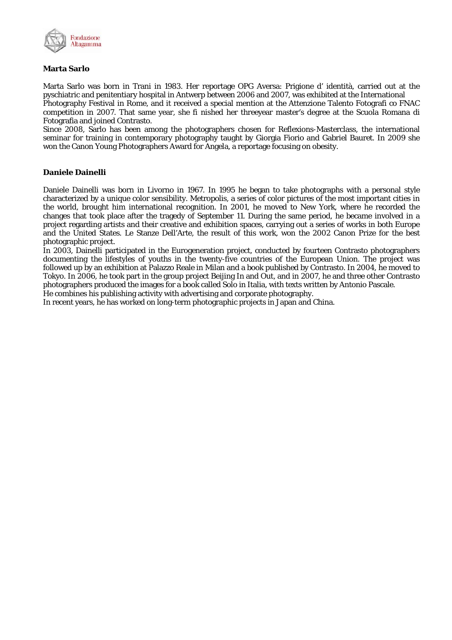

## **Marta Sarlo**

Marta Sarlo was born in Trani in 1983. Her reportage OPG Aversa: Prigione d' identità, carried out at the pyschiatric and penitentiary hospital in Antwerp between 2006 and 2007, was exhibited at the International Photography Festival in Rome, and it received a special mention at the Attenzione Talento Fotografi co FNAC

competition in 2007. That same year, she fi nished her threeyear master's degree at the Scuola Romana di Fotografia and joined Contrasto.

Since 2008, Sarlo has been among the photographers chosen for Reflexions-Masterclass, the international seminar for training in contemporary photography taught by Giorgia Fiorio and Gabriel Bauret. In 2009 she won the Canon Young Photographers Award for Angela, a reportage focusing on obesity.

## **Daniele Dainelli**

Daniele Dainelli was born in Livorno in 1967. In 1995 he began to take photographs with a personal style characterized by a unique color sensibility. Metropolis, a series of color pictures of the most important cities in the world, brought him international recognition. In 2001, he moved to New York, where he recorded the changes that took place after the tragedy of September 11. During the same period, he became involved in a project regarding artists and their creative and exhibition spaces, carrying out a series of works in both Europe and the United States. Le Stanze Dell'Arte, the result of this work, won the 2002 Canon Prize for the best photographic project.

In 2003, Dainelli participated in the Eurogeneration project, conducted by fourteen Contrasto photographers documenting the lifestyles of youths in the twenty-five countries of the European Union. The project was followed up by an exhibition at Palazzo Reale in Milan and a book published by Contrasto. In 2004, he moved to Tokyo. In 2006, he took part in the group project Beijing In and Out, and in 2007, he and three other Contrasto photographers produced the images for a book called Solo in Italia, with texts written by Antonio Pascale.

He combines his publishing activity with advertising and corporate photography.

In recent years, he has worked on long-term photographic projects in Japan and China.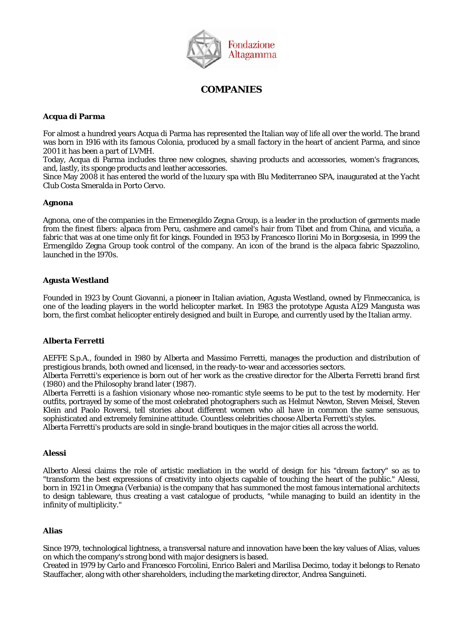

# **COMPANIES**

## **Acqua di Parma**

For almost a hundred years Acqua di Parma has represented the Italian way of life all over the world. The brand was born in 1916 with its famous Colonia, produced by a small factory in the heart of ancient Parma, and since 2001 it has been a part of LVMH.

Today, Acqua di Parma includes three new colognes, shaving products and accessories, women's fragrances, and, lastly, its sponge products and leather accessories.

Since May 2008 it has entered the world of the luxury spa with Blu Mediterraneo SPA, inaugurated at the Yacht Club Costa Smeralda in Porto Cervo.

## **Agnona**

Agnona, one of the companies in the Ermenegildo Zegna Group, is a leader in the production of garments made from the finest fibers: alpaca from Peru, cashmere and camel's hair from Tibet and from China, and vicuña, a fabric that was at one time only fit for kings. Founded in 1953 by Francesco Ilorini Mo in Borgosesia, in 1999 the Ermengildo Zegna Group took control of the company. An icon of the brand is the alpaca fabric Spazzolino, launched in the 1970s.

## **Agusta Westland**

Founded in 1923 by Count Giovanni, a pioneer in Italian aviation, Agusta Westland, owned by Finmeccanica, is one of the leading players in the world helicopter market. In 1983 the prototype Agusta A129 Mangusta was born, the first combat helicopter entirely designed and built in Europe, and currently used by the Italian army.

## **Alberta Ferretti**

AEFFE S.p.A., founded in 1980 by Alberta and Massimo Ferretti, manages the production and distribution of prestigious brands, both owned and licensed, in the ready-to-wear and accessories sectors.

Alberta Ferretti's experience is born out of her work as the creative director for the Alberta Ferretti brand first (1980) and the Philosophy brand later (1987).

Alberta Ferretti is a fashion visionary whose neo-romantic style seems to be put to the test by modernity. Her outfits, portrayed by some of the most celebrated photographers such as Helmut Newton, Steven Meisel, Steven Klein and Paolo Roversi, tell stories about different women who all have in common the same sensuous, sophisticated and extremely feminine attitude. Countless celebrities choose Alberta Ferretti's styles.

Alberta Ferretti's products are sold in single-brand boutiques in the major cities all across the world.

## **Alessi**

Alberto Alessi claims the role of artistic mediation in the world of design for his "dream factory" so as to "transform the best expressions of creativity into objects capable of touching the heart of the public." Alessi, born in 1921 in Omegna (Verbania) is the company that has summoned the most famous international architects to design tableware, thus creating a vast catalogue of products, "while managing to build an identity in the infinity of multiplicity."

## **Alias**

Since 1979, technological lightness, a transversal nature and innovation have been the key values of Alias, values on which the company's strong bond with major designers is based.

Created in 1979 by Carlo and Francesco Forcolini, Enrico Baleri and Marilisa Decimo, today it belongs to Renato Stauffacher, along with other shareholders, including the marketing director, Andrea Sanguineti.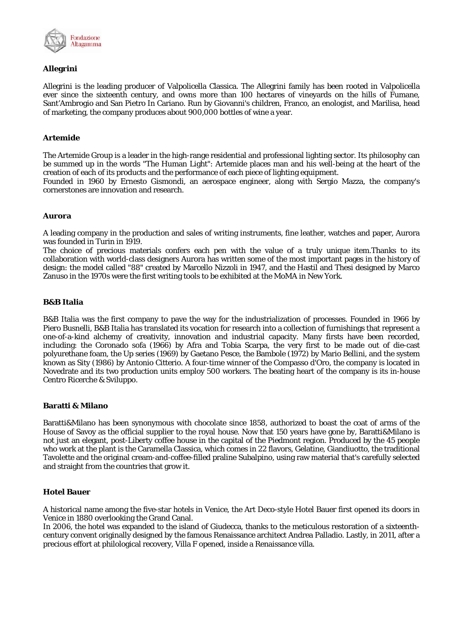

## **Allegrini**

Allegrini is the leading producer of Valpolicella Classica. The Allegrini family has been rooted in Valpolicella ever since the sixteenth century, and owns more than 100 hectares of vineyards on the hills of Fumane, Sant'Ambrogio and San Pietro In Cariano. Run by Giovanni's children, Franco, an enologist, and Marilisa, head of marketing, the company produces about 900,000 bottles of wine a year.

## **Artemide**

The Artemide Group is a leader in the high-range residential and professional lighting sector. Its philosophy can be summed up in the words "The Human Light": Artemide places man and his well-being at the heart of the creation of each of its products and the performance of each piece of lighting equipment.

Founded in 1960 by Ernesto Gismondi, an aerospace engineer, along with Sergio Mazza, the company's cornerstones are innovation and research.

## **Aurora**

A leading company in the production and sales of writing instruments, fine leather, watches and paper, Aurora was founded in Turin in 1919.

The choice of precious materials confers each pen with the value of a truly unique item.Thanks to its collaboration with world-class designers Aurora has written some of the most important pages in the history of design: the model called "88" created by Marcello Nizzoli in 1947, and the Hastil and Thesi designed by Marco Zanuso in the 1970s were the first writing tools to be exhibited at the MoMA in New York.

## **B&B Italia**

B&B Italia was the first company to pave the way for the industrialization of processes. Founded in 1966 by Piero Busnelli, B&B Italia has translated its vocation for research into a collection of furnishings that represent a one-of-a-kind alchemy of creativity, innovation and industrial capacity. Many firsts have been recorded, including: the Coronado sofa (1966) by Afra and Tobia Scarpa, the very first to be made out of die-cast polyurethane foam, the Up series (1969) by Gaetano Pesce, the Bambole (1972) by Mario Bellini, and the system known as Sity (1986) by Antonio Citterio. A four-time winner of the Compasso d'Oro, the company is located in Novedrate and its two production units employ 500 workers. The beating heart of the company is its in-house Centro Ricerche & Sviluppo.

## **Baratti & Milano**

Baratti&Milano has been synonymous with chocolate since 1858, authorized to boast the coat of arms of the House of Savoy as the official supplier to the royal house. Now that 150 years have gone by, Baratti&Milano is not just an elegant, post-Liberty coffee house in the capital of the Piedmont region. Produced by the 45 people who work at the plant is the Caramella Classica, which comes in 22 flavors, Gelatine, Giandiuotto, the traditional Tavolette and the original cream-and-coffee-filled praline Subalpino, using raw material that's carefully selected and straight from the countries that grow it.

## **Hotel Bauer**

A historical name among the five-star hotels in Venice, the Art Deco-style Hotel Bauer first opened its doors in Venice in 1880 overlooking the Grand Canal.

In 2006, the hotel was expanded to the island of Giudecca, thanks to the meticulous restoration of a sixteenthcentury convent originally designed by the famous Renaissance architect Andrea Palladio. Lastly, in 2011, after a precious effort at philological recovery, Villa F opened, inside a Renaissance villa.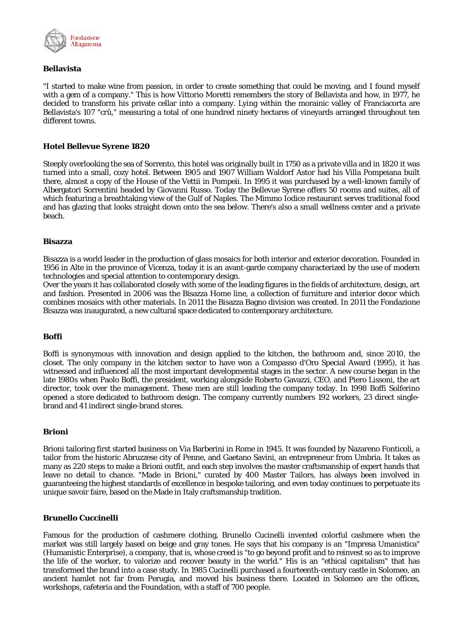

## **Bellavista**

"I started to make wine from passion, in order to create something that could be moving, and I found myself with a gem of a company." This is how Vittorio Moretti remembers the story of Bellavista and how, in 1977, he decided to transform his private cellar into a company. Lying within the morainic valley of Franciacorta are Bellavista's 107 "crû," measuring a total of one hundred ninety hectares of vineyards arranged throughout ten different towns.

## **Hotel Bellevue Syrene 1820**

Steeply overlooking the sea of Sorrento, this hotel was originally built in 1750 as a private villa and in 1820 it was turned into a small, cozy hotel. Between 1905 and 1907 William Waldorf Astor had his Villa Pompeiana built there, almost a copy of the House of the Vettii in Pompeii. In 1995 it was purchased by a well-known family of Albergatori Sorrentini headed by Giovanni Russo. Today the Bellevue Syrene offers 50 rooms and suites, all of which featuring a breathtaking view of the Gulf of Naples. The Mimmo Iodice restaurant serves traditional food and has glazing that looks straight down onto the sea below. There's also a small wellness center and a private beach.

#### **Bisazza**

Bisazza is a world leader in the production of glass mosaics for both interior and exterior decoration. Founded in 1956 in Alte in the province of Vicenza, today it is an avant-garde company characterized by the use of modern technologies and special attention to contemporary design.

Over the years it has collaborated closely with some of the leading figures in the fields of architecture, design, art and fashion. Presented in 2006 was the Bisazza Home line, a collection of furniture and interior decor which combines mosaics with other materials. In 2011 the Bisazza Bagno division was created. In 2011 the Fondazione Bisazza was inaugurated, a new cultural space dedicated to contemporary architecture.

## **Boffi**

Boffi is synonymous with innovation and design applied to the kitchen, the bathroom and, since 2010, the closet. The only company in the kitchen sector to have won a Compasso d'Oro Special Award (1995), it has witnessed and influenced all the most important developmental stages in the sector. A new course began in the late 1980s when Paolo Boffi, the president, working alongside Roberto Gavazzi, CEO, and Piero Lissoni, the art director, took over the management. These men are still leading the company today. In 1998 Boffi Solferino opened a store dedicated to bathroom design. The company currently numbers 192 workers, 23 direct singlebrand and 41 indirect single-brand stores.

## **Brioni**

Brioni tailoring first started business on Via Barberini in Rome in 1945. It was founded by Nazareno Fonticoli, a tailor from the historic Abruzzese city of Penne, and Gaetano Savini, an entrepreneur from Umbria. It takes as many as 220 steps to make a Brioni outfit, and each step involves the master craftsmanship of expert hands that leave no detail to chance. "Made in Brioni," curated by 400 Master Tailors, has always been involved in guaranteeing the highest standards of excellence in bespoke tailoring, and even today continues to perpetuate its unique savoir faire, based on the Made in Italy craftsmanship tradition.

## **Brunello Cuccinelli**

Famous for the production of cashmere clothing, Brunello Cucinelli invented colorful cashmere when the market was still largely based on beige and gray tones. He says that his company is an "Impresa Umanistica" (Humanistic Enterprise), a company, that is, whose creed is "to go beyond profit and to reinvest so as to improve the life of the worker, to valorize and recover beauty in the world." His is an "ethical capitalism" that has transformed the brand into a case study. In 1985 Cucinelli purchased a fourteenth-century castle in Solomeo, an ancient hamlet not far from Perugia, and moved his business there. Located in Solomeo are the offices, workshops, cafeteria and the Foundation, with a staff of 700 people.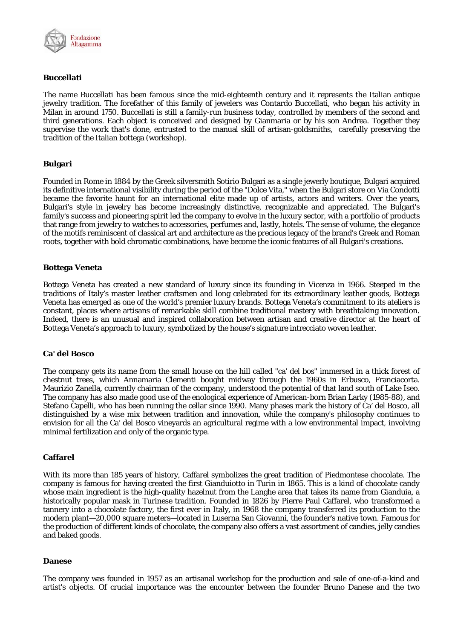

## **Buccellati**

The name Buccellati has been famous since the mid-eighteenth century and it represents the Italian antique jewelry tradition. The forefather of this family of jewelers was Contardo Buccellati, who began his activity in Milan in around 1750. Buccellati is still a family-run business today, controlled by members of the second and third generations. Each object is conceived and designed by Gianmaria or by his son Andrea. Together they supervise the work that's done, entrusted to the manual skill of artisan-goldsmiths, carefully preserving the tradition of the Italian bottega (workshop).

## **Bulgari**

Founded in Rome in 1884 by the Greek silversmith Sotirio Bulgari as a single jewerly boutique, Bulgari acquired its definitive international visibility during the period of the "Dolce Vita," when the Bulgari store on Via Condotti became the favorite haunt for an international elite made up of artists, actors and writers. Over the years, Bulgari's style in jewelry has become increasingly distinctive, recognizable and appreciated. The Bulgari's family's success and pioneering spirit led the company to evolve in the luxury sector, with a portfolio of products that range from jewelry to watches to accessories, perfumes and, lastly, hotels. The sense of volume, the elegance of the motifs reminiscent of classical art and architecture as the precious legacy of the brand's Greek and Roman roots, together with bold chromatic combinations, have become the iconic features of all Bulgari's creations.

## **Bottega Veneta**

Bottega Veneta has created a new standard of luxury since its founding in Vicenza in 1966. Steeped in the traditions of Italy's master leather craftsmen and long celebrated for its extraordinary leather goods, Bottega Veneta has emerged as one of the world's premier luxury brands. Bottega Veneta's commitment to its ateliers is constant, places where artisans of remarkable skill combine traditional mastery with breathtaking innovation. Indeed, there is an unusual and inspired collaboration between artisan and creative director at the heart of Bottega Veneta's approach to luxury, symbolized by the house's signature intrecciato woven leather.

## **Ca' del Bosco**

The company gets its name from the small house on the hill called "ca' del bos" immersed in a thick forest of chestnut trees, which Annamaria Clementi bought midway through the 1960s in Erbusco, Franciacorta. Maurizio Zanella, currently chairman of the company, understood the potential of that land south of Lake Iseo. The company has also made good use of the enological experience of American-born Brian Larky (1985-88), and Stefano Capelli, who has been running the cellar since 1990. Many phases mark the history of Ca' del Bosco, all distinguished by a wise mix between tradition and innovation, while the company's philosophy continues to envision for all the Ca' del Bosco vineyards an agricultural regime with a low environmental impact, involving minimal fertilization and only of the organic type.

## **Caffarel**

With its more than 185 years of history, Caffarel symbolizes the great tradition of Piedmontese chocolate. The company is famous for having created the first Gianduiotto in Turin in 1865. This is a kind of chocolate candy whose main ingredient is the high-quality hazelnut from the Langhe area that takes its name from Gianduia, a historically popular mask in Turinese tradition. Founded in 1826 by Pierre Paul Caffarel, who transformed a tannery into a chocolate factory, the first ever in Italy, in 1968 the company transferred its production to the modern plant—20,000 square meters—located in Luserna San Giovanni, the founder's native town. Famous for the production of different kinds of chocolate, the company also offers a vast assortment of candies, jelly candies and baked goods.

#### **Danese**

The company was founded in 1957 as an artisanal workshop for the production and sale of one-of-a-kind and artist's objects. Of crucial importance was the encounter between the founder Bruno Danese and the two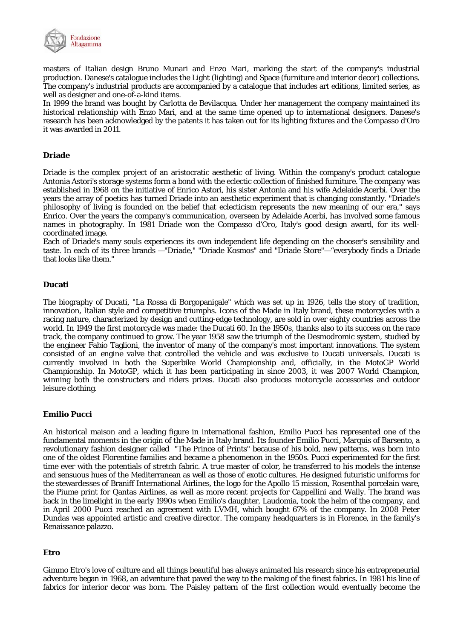

masters of Italian design Bruno Munari and Enzo Mari, marking the start of the company's industrial production. Danese's catalogue includes the Light (lighting) and Space (furniture and interior decor) collections. The company's industrial products are accompanied by a catalogue that includes art editions, limited series, as well as designer and one-of-a-kind items.

In 1999 the brand was bought by Carlotta de Bevilacqua. Under her management the company maintained its historical relationship with Enzo Mari, and at the same time opened up to international designers. Danese's research has been acknowledged by the patents it has taken out for its lighting fixtures and the Compasso d'Oro it was awarded in 2011.

## **Driade**

Driade is the complex project of an aristocratic aesthetic of living. Within the company's product catalogue Antonia Astori's storage systems form a bond with the eclectic collection of finished furniture. The company was established in 1968 on the initiative of Enrico Astori, his sister Antonia and his wife Adelaide Acerbi. Over the years the array of poetics has turned Driade into an aesthetic experiment that is changing constantly. "Driade's philosophy of living is founded on the belief that eclecticism represents the new meaning of our era," says Enrico. Over the years the company's communication, overseen by Adelaide Acerbi, has involved some famous names in photography. In 1981 Driade won the Compasso d'Oro, Italy's good design award, for its wellcoordinated image.

Each of Driade's many souls experiences its own independent life depending on the chooser's sensibility and taste. In each of its three brands —"Driade," "Driade Kosmos" and "Driade Store"—"everybody finds a Driade that looks like them."

## **Ducati**

The biography of Ducati, "La Rossa di Borgopanigale" which was set up in 1926, tells the story of tradition, innovation, Italian style and competitive triumphs. Icons of the Made in Italy brand, these motorcycles with a racing nature, characterized by design and cutting-edge technology, are sold in over eighty countries across the world. In 1949 the first motorcycle was made: the Ducati 60. In the 1950s, thanks also to its success on the race track, the company continued to grow. The year 1958 saw the triumph of the Desmodromic system, studied by the engineer Fabio Taglioni, the inventor of many of the company's most important innovations. The system consisted of an engine valve that controlled the vehicle and was exclusive to Ducati universals. Ducati is currently involved in both the Superbike World Championship and, officially, in the MotoGP World Championship. In MotoGP, which it has been participating in since 2003, it was 2007 World Champion, winning both the constructers and riders prizes. Ducati also produces motorcycle accessories and outdoor leisure clothing.

## **Emilio Pucci**

An historical maison and a leading figure in international fashion, Emilio Pucci has represented one of the fundamental moments in the origin of the Made in Italy brand. Its founder Emilio Pucci, Marquis of Barsento, a revolutionary fashion designer called "The Prince of Prints" because of his bold, new patterns, was born into one of the oldest Florentine families and became a phenomenon in the 1950s. Pucci experimented for the first time ever with the potentials of stretch fabric. A true master of color, he transferred to his models the intense and sensuous hues of the Mediterranean as well as those of exotic cultures. He designed futuristic uniforms for the stewardesses of Braniff International Airlines, the logo for the Apollo 15 mission, Rosenthal porcelain ware, the Piume print for Qantas Airlines, as well as more recent projects for Cappellini and Wally. The brand was back in the limelight in the early 1990s when Emilio's daughter, Laudomia, took the helm of the company, and in April 2000 Pucci reached an agreement with LVMH, which bought 67% of the company. In 2008 Peter Dundas was appointed artistic and creative director. The company headquarters is in Florence, in the family's Renaissance palazzo.

## **Etro**

Gimmo Etro's love of culture and all things beautiful has always animated his research since his entrepreneurial adventure began in 1968, an adventure that paved the way to the making of the finest fabrics. In 1981 his line of fabrics for interior decor was born. The Paisley pattern of the first collection would eventually become the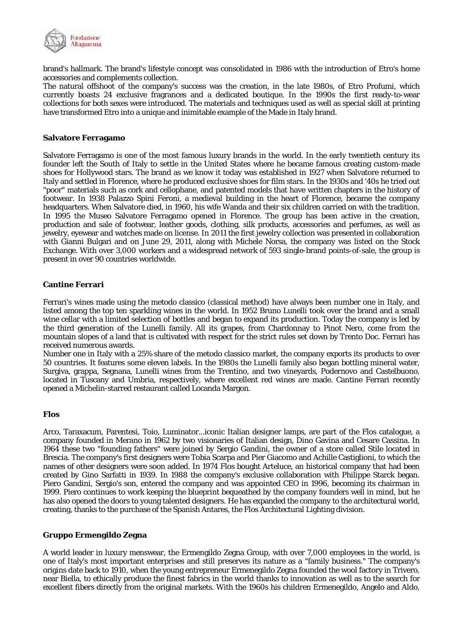

brand's hallmark. The brand's lifestyle concept was consolidated in 1986 with the introduction of Etro's home accessories and complements collection.

The natural offshoot of the company's success was the creation, in the late 1980s, of Etro Profumi, which currently boasts 24 exclusive fragrances and a dedicated boutique. In the 1990s the first ready-to-wear collections for both sexes were introduced. The materials and techniques used as well as special skill at printing have transformed Etro into a unique and inimitable example of the Made in Italy brand.

#### **Salvatore Ferragamo**

Salvatore Ferragamo is one of the most famous luxury brands in the world. In the early twentieth century its founder left the South of Italy to settle in the United States where he became famous creating custom-made shoes for Hollywood stars. The brand as we know it today was established in 1927 when Salvatore returned to Italy and settled in Florence, where he produced exclusive shoes for film stars. In the 1930s and '40s he tried out "poor" materials such as cork and cellophane, and patented models that have written chapters in the history of footwear. In 1938 Palazzo Spini Feroni, a medieval building in the heart of Florence, became the company headquarters. When Salvatore died, in 1960, his wife Wanda and their six children carried on with the tradition. In 1995 the Museo Salvatore Ferragamo opened in Florence. The group has been active in the creation, production and sale of footwear, leather goods, clothing, silk products, accessories and perfumes, as well as jewelry, eyewear and watches made on license. In 2011 the first jewelry collection was presented in collaboration with Gianni Bulgari and on June 29, 2011, along with Michele Norsa, the company was listed on the Stock Exchange. With over 3,000 workers and a widespread network of 593 single-brand points-of-sale, the group is present in over 90 countries worldwide.

## **Cantine Ferrari**

Ferrari's wines made using the metodo classico (classical method) have always been number one in Italy, and listed among the top ten sparkling wines in the world. In 1952 Bruno Lunelli took over the brand and a small wine cellar with a limited selection of bottles and began to expand its production. Today the company is led by the third generation of the Lunelli family. All its grapes, from Chardonnay to Pinot Nero, come from the mountain slopes of a land that is cultivated with respect for the strict rules set down by Trento Doc. Ferrari has received numerous awards.

Number one in Italy with a 25% share of the metodo classico market, the company exports its products to over 50 countries. It features some eleven labels. In the 1980s the Lunelli family also began bottling mineral water, Surgiva, grappa, Segnana, Lunelli wines from the Trentino, and two vineyards, Podernovo and Castelbuono, located in Tuscany and Umbria, respectively, where excellent red wines are made. Cantine Ferrari recently opened a Michelin-starred restaurant called Locanda Margon.

#### **Flos**

Arco, Taraxacum, Parentesi, Toio, Luminator...iconic Italian designer lamps, are part of the Flos catalogue, a company founded in Merano in 1962 by two visionaries of Italian design, Dino Gavina and Cesare Cassina. In 1964 these two "founding fathers" were joined by Sergio Gandini, the owner of a store called Stile located in Brescia. The company's first designers were Tobia Scarpa and Pier Giacomo and Achille Castiglioni, to which the names of other designers were soon added. In 1974 Flos bought Arteluce, an historical company that had been created by Gino Sarfatti in 1939. In 1988 the company's exclusive collaboration with Philippe Starck began. Piero Gandini, Sergio's son, entered the company and was appointed CEO in 1996, becoming its chairman in 1999. Piero continues to work keeping the blueprint bequeathed by the company founders well in mind, but he has also opened the doors to young talented designers. He has expanded the company to the architectural world, creating, thanks to the purchase of the Spanish Antares, the Flos Architectural Lighting division.

## **Gruppo Ermengildo Zegna**

A world leader in luxury menswear, the Ermengildo Zegna Group, with over 7,000 employees in the world, is one of Italy's most important enterprises and still preserves its nature as a "family business." The company's origins date back to 1910, when the young entrepreneur Ermenegildo Zegna founded the wool factory in Trivero, near Biella, to ethically produce the finest fabrics in the world thanks to innovation as well as to the search for excellent fibers directly from the original markets. With the 1960s his children Ermenegildo, Angelo and Aldo,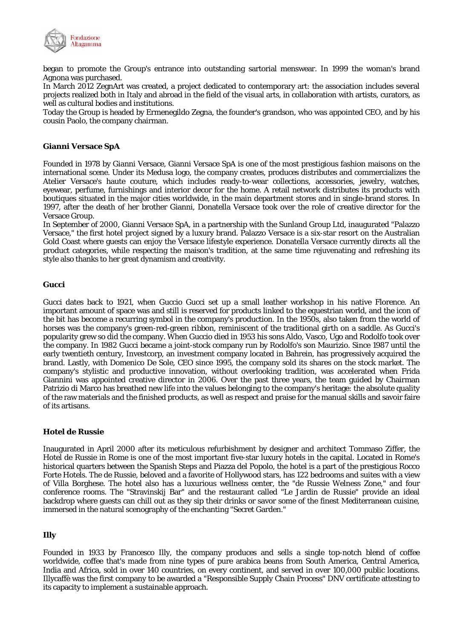

began to promote the Group's entrance into outstanding sartorial menswear. In 1999 the woman's brand Agnona was purchased.

In March 2012 ZegnArt was created, a project dedicated to contemporary art: the association includes several projects realized both in Italy and abroad in the field of the visual arts, in collaboration with artists, curators, as well as cultural bodies and institutions.

Today the Group is headed by Ermenegildo Zegna, the founder's grandson, who was appointed CEO, and by his cousin Paolo, the company chairman.

## **Gianni Versace SpA**

Founded in 1978 by Gianni Versace, Gianni Versace SpA is one of the most prestigious fashion maisons on the international scene. Under its Medusa logo, the company creates, produces distributes and commercializes the Atelier Versace's haute couture, which includes ready-to-wear collections, accessories, jewelry, watches, eyewear, perfume, furnishings and interior decor for the home. A retail network distributes its products with boutiques situated in the major cities worldwide, in the main department stores and in single-brand stores. In 1997, after the death of her brother Gianni, Donatella Versace took over the role of creative director for the Versace Group.

In September of 2000, Gianni Versace SpA, in a partnership with the Sunland Group Ltd, inaugurated "Palazzo Versace," the first hotel project signed by a luxury brand. Palazzo Versace is a six-star resort on the Australian Gold Coast where guests can enjoy the Versace lifestyle experience. Donatella Versace currently directs all the product categories, while respecting the maison's tradition, at the same time rejuvenating and refreshing its style also thanks to her great dynamism and creativity.

## **Gucci**

Gucci dates back to 1921, when Guccio Gucci set up a small leather workshop in his native Florence. An important amount of space was and still is reserved for products linked to the equestrian world, and the icon of the bit has become a recurring symbol in the company's production. In the 1950s, also taken from the world of horses was the company's green-red-green ribbon, reminiscent of the traditional girth on a saddle. As Gucci's popularity grew so did the company. When Guccio died in 1953 his sons Aldo, Vasco, Ugo and Rodolfo took over the company. In 1982 Gucci became a joint-stock company run by Rodolfo's son Maurizio. Since 1987 until the early twentieth century, Investcorp, an investment company located in Bahrein, has progressively acquired the brand. Lastly, with Domenico De Sole, CEO since 1995, the company sold its shares on the stock market. The company's stylistic and productive innovation, without overlooking tradition, was accelerated when Frida Giannini was appointed creative director in 2006. Over the past three years, the team guided by Chairman Patrizio di Marco has breathed new life into the values belonging to the company's heritage: the absolute quality of the raw materials and the finished products, as well as respect and praise for the manual skills and savoir faire of its artisans.

## **Hotel de Russie**

Inaugurated in April 2000 after its meticulous refurbishment by designer and architect Tommaso Ziffer, the Hotel de Russie in Rome is one of the most important five-star luxury hotels in the capital. Located in Rome's historical quarters between the Spanish Steps and Piazza del Popolo, the hotel is a part of the prestigious Rocco Forte Hotels. The de Russie, beloved and a favorite of Hollywood stars, has 122 bedrooms and suites with a view of Villa Borghese. The hotel also has a luxurious wellness center, the "de Russie Welness Zone," and four conference rooms. The "Stravinskij Bar" and the restaurant called "Le Jardin de Russie" provide an ideal backdrop where guests can chill out as they sip their drinks or savor some of the finest Mediterranean cuisine, immersed in the natural scenography of the enchanting "Secret Garden."

## **Illy**

Founded in 1933 by Francesco Illy, the company produces and sells a single top-notch blend of coffee worldwide, coffee that's made from nine types of pure arabica beans from South America, Central America, India and Africa, sold in over 140 countries, on every continent, and served in over 100,000 public locations. Illycaffè was the first company to be awarded a "Responsible Supply Chain Process" DNV certificate attesting to its capacity to implement a sustainable approach.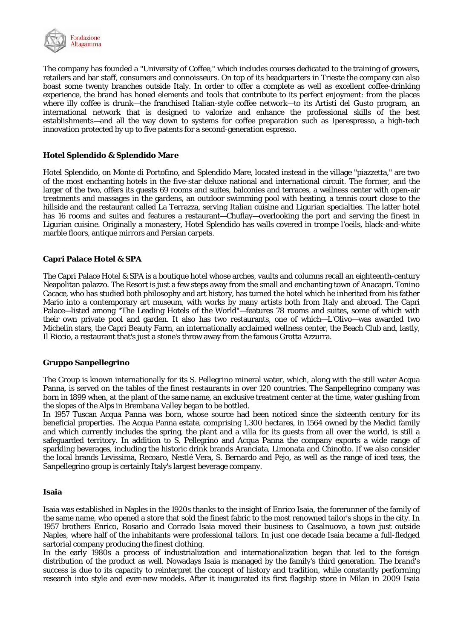

The company has founded a "University of Coffee," which includes courses dedicated to the training of growers, retailers and bar staff, consumers and connoisseurs. On top of its headquarters in Trieste the company can also boast some twenty branches outside Italy. In order to offer a complete as well as excellent coffee-drinking experience, the brand has honed elements and tools that contribute to its perfect enjoyment: from the places where illy coffee is drunk—the franchised Italian-style coffee network—to its Artisti del Gusto program, an international network that is designed to valorize and enhance the professional skills of the best establishments—and all the way down to systems for coffee preparation such as Iperespresso, a high-tech innovation protected by up to five patents for a second-generation espresso.

## **Hotel Splendido & Splendido Mare**

Hotel Splendido, on Monte di Portofino, and Splendido Mare, located instead in the village "piazzetta," are two of the most enchanting hotels in the five-star deluxe national and international circuit. The former, and the larger of the two, offers its guests 69 rooms and suites, balconies and terraces, a wellness center with open-air treatments and massages in the gardens, an outdoor swimming pool with heating, a tennis court close to the hillside and the restaurant called La Terrazza, serving Italian cuisine and Ligurian specialties. The latter hotel has 16 rooms and suites and features a restaurant—Chuflay—overlooking the port and serving the finest in Ligurian cuisine. Originally a monastery, Hotel Splendido has walls covered in trompe l'oeils, black-and-white marble floors, antique mirrors and Persian carpets.

## **Capri Palace Hotel & SPA**

The Capri Palace Hotel & SPA is a boutique hotel whose arches, vaults and columns recall an eighteenth-century Neapolitan palazzo. The Resort is just a few steps away from the small and enchanting town of Anacapri. Tonino Cacace, who has studied both philosophy and art history, has turned the hotel which he inherited from his father Mario into a contemporary art museum, with works by many artists both from Italy and abroad. The Capri Palace—listed among "The Leading Hotels of the World"—features 78 rooms and suites, some of which with their own private pool and garden. It also has two restaurants, one of which—L'Olivo—was awarded two Michelin stars, the Capri Beauty Farm, an internationally acclaimed wellness center, the Beach Club and, lastly, Il Riccio, a restaurant that's just a stone's throw away from the famous Grotta Azzurra.

## **Gruppo Sanpellegrino**

The Group is known internationally for its S. Pellegrino mineral water, which, along with the still water Acqua Panna, is served on the tables of the finest restaurants in over 120 countries. The Sanpellegrino company was born in 1899 when, at the plant of the same name, an exclusive treatment center at the time, water gushing from the slopes of the Alps in Brembana Valley began to be bottled.

In 1957 Tuscan Acqua Panna was born, whose source had been noticed since the sixteenth century for its beneficial properties. The Acqua Panna estate, comprising 1,300 hectares, in 1564 owned by the Medici family and which currently includes the spring, the plant and a villa for its guests from all over the world, is still a safeguarded territory. In addition to S. Pellegrino and Acqua Panna the company exports a wide range of sparkling beverages, including the historic drink brands Aranciata, Limonata and Chinotto. If we also consider the local brands Levissima, Recoaro, Nestlé Vera, S. Bernardo and Pejo, as well as the range of iced teas, the Sanpellegrino group is certainly Italy's largest beverage company.

## **Isaia**

Isaia was established in Naples in the 1920s thanks to the insight of Enrico Isaia, the forerunner of the family of the same name, who opened a store that sold the finest fabric to the most renowned tailor's shops in the city. In 1957 brothers Enrico, Rosario and Corrado Isaia moved their business to Casalnuovo, a town just outside Naples, where half of the inhabitants were professional tailors. In just one decade Isaia became a full-fledged sartorial company producing the finest clothing.

In the early 1980s a process of industrialization and internationalization began that led to the foreign distribution of the product as well. Nowadays Isaia is managed by the family's third generation. The brand's success is due to its capacity to reinterpret the concept of history and tradition, while constantly performing research into style and ever-new models. After it inaugurated its first flagship store in Milan in 2009 Isaia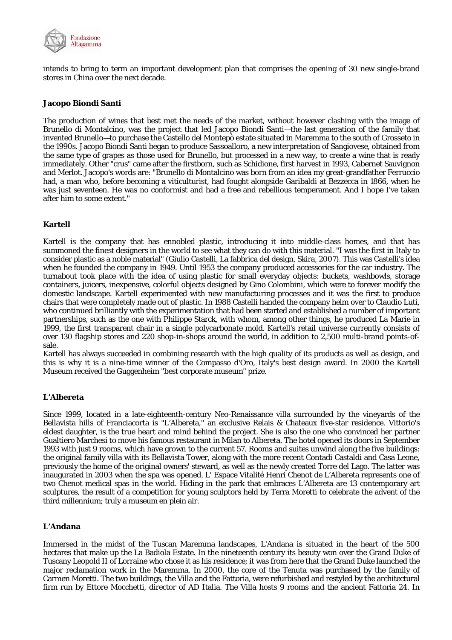

intends to bring to term an important development plan that comprises the opening of 30 new single-brand stores in China over the next decade.

## **Jacopo Biondi Santi**

The production of wines that best met the needs of the market, without however clashing with the image of Brunello di Montalcino, was the project that led Jacopo Biondi Santi—the last generation of the family that invented Brunello—to purchase the Castello del Montepò estate situated in Maremma to the south of Grosseto in the 1990s. Jacopo Biondi Santi began to produce Sassoalloro, a new interpretation of Sangiovese, obtained from the same type of grapes as those used for Brunello, but processed in a new way, to create a wine that is ready immediately. Other "crus" came after the firstborn, such as Schidione, first harvest in 1993, Cabernet Sauvignon and Merlot. Jacopo's words are: "Brunello di Montalcino was born from an idea my great-grandfather Ferruccio had, a man who, before becoming a viticulturist, had fought alongside Garibaldi at Bezzecca in 1866, when he was just seventeen. He was no conformist and had a free and rebellious temperament. And I hope I've taken after him to some extent."

## **Kartell**

Kartell is the company that has ennobled plastic, introducing it into middle-class homes, and that has summoned the finest designers in the world to see what they can do with this material. "I was the first in Italy to consider plastic as a noble material" (Giulio Castelli, La fabbrica del design, Skira, 2007). This was Castelli's idea when he founded the company in 1949. Until 1953 the company produced accessories for the car industry. The turnabout took place with the idea of using plastic for small everyday objects: buckets, washbowls, storage containers, juicers, inexpensive, colorful objects designed by Gino Colombini, which were to forever modify the domestic landscape. Kartell experimented with new manufacturing processes and it was the first to produce chairs that were completely made out of plastic. In 1988 Castelli handed the company helm over to Claudio Luti, who continued brilliantly with the experimentation that had been started and established a number of important partnerships, such as the one with Philippe Starck, with whom, among other things, he produced La Marie in 1999, the first transparent chair in a single polycarbonate mold. Kartell's retail universe currently consists of over 130 flagship stores and 220 shop-in-shops around the world, in addition to 2,500 multi-brand points-ofsale.

Kartell has always succeeded in combining research with the high quality of its products as well as design, and this is why it is a nine-time winner of the Compasso d'Oro, Italy's best design award. In 2000 the Kartell Museum received the Guggenheim "best corporate museum" prize.

## **L'Albereta**

Since 1999, located in a late-eighteenth-century Neo-Renaissance villa surrounded by the vineyards of the Bellavista hills of Franciacorta is "L'Albereta," an exclusive Relais & Chateaux five-star residence. Vittorio's eldest daughter, is the true heart and mind behind the project. She is also the one who convinced her partner Gualtiero Marchesi to move his famous restaurant in Milan to Albereta. The hotel opened its doors in September 1993 with just 9 rooms, which have grown to the current 57. Rooms and suites unwind along the five buildings: the original family villa with its Bellavista Tower, along with the more recent Contadi Castaldi and Casa Leone, previously the home of the original owners' steward, as well as the newly created Torre del Lago. The latter was inaugurated in 2003 when the spa was opened. L' Espace Vitalité Henri Chenot de L'Albereta represents one of two Chenot medical spas in the world. Hiding in the park that embraces L'Albereta are 13 contemporary art sculptures, the result of a competition for young sculptors held by Terra Moretti to celebrate the advent of the third millennium; truly a museum en plein air.

## **L'Andana**

Immersed in the midst of the Tuscan Maremma landscapes, L'Andana is situated in the heart of the 500 hectares that make up the La Badiola Estate. In the nineteenth century its beauty won over the Grand Duke of Tuscany Leopold II of Lorraine who chose it as his residence; it was from here that the Grand Duke launched the major reclamation work in the Maremma. In 2000, the core of the Tenuta was purchased by the family of Carmen Moretti. The two buildings, the Villa and the Fattoria, were refurbished and restyled by the architectural firm run by Ettore Mocchetti, director of AD Italia. The Villa hosts 9 rooms and the ancient Fattoria 24. In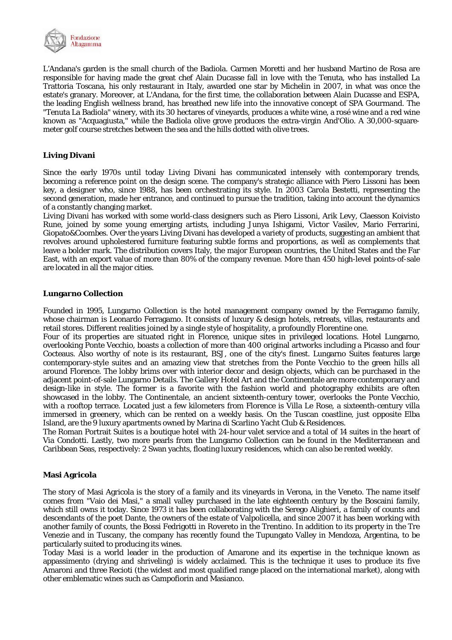

L'Andana's garden is the small church of the Badiola. Carmen Moretti and her husband Martino de Rosa are responsible for having made the great chef Alain Ducasse fall in love with the Tenuta, who has installed La Trattoria Toscana, his only restaurant in Italy, awarded one star by Michelin in 2007, in what was once the estate's granary. Moreover, at L'Andana, for the first time, the collaboration between Alain Ducasse and ESPA, the leading English wellness brand, has breathed new life into the innovative concept of SPA Gourmand. The "Tenuta La Badiola" winery, with its 30 hectares of vineyards, produces a white wine, a rosé wine and a red wine known as "Acquagiusta," while the Badiola olive grove produces the extra-virgin And'Olio. A 30,000-squaremeter golf course stretches between the sea and the hills dotted with olive trees.

## **Living Divani**

Since the early 1970s until today Living Divani has communicated intensely with contemporary trends, becoming a reference point on the design scene. The company's strategic alliance with Piero Lissoni has been key, a designer who, since 1988, has been orchestrating its style. In 2003 Carola Bestetti, representing the second generation, made her entrance, and continued to pursue the tradition, taking into account the dynamics of a constantly changing market.

Living Divani has worked with some world-class designers such as Piero Lissoni, Arik Levy, Claesson Koivisto Rune, joined by some young emerging artists, including Junya Ishigami, Victor Vasilev, Mario Ferrarini, Giopato&Coombes. Over the years Living Divani has developed a variety of products, suggesting an ambient that revolves around upholestered furniture featuring subtle forms and proportions, as well as complements that leave a bolder mark. The distribution covers Italy, the major European countries, the United States and the Far East, with an export value of more than 80% of the company revenue. More than 450 high-level points-of-sale are located in all the major cities.

## **Lungarno Collection**

Founded in 1995, Lungarno Collection is the hotel management company owned by the Ferragamo family, whose chairman is Leonardo Ferragamo. It consists of luxury & design hotels, retreats, villas, restaurants and retail stores. Different realities joined by a single style of hospitality, a profoundly Florentine one.

Four of its properties are situated right in Florence, unique sites in privileged locations. Hotel Lungarno, overlooking Ponte Vecchio, boasts a collection of more than 400 original artworks including a Picasso and four Cocteaus. Also worthy of note is its restaurant, BSJ, one of the city's finest. Lungarno Suites features large contemporary-style suites and an amazing view that stretches from the Ponte Vecchio to the green hills all around Florence. The lobby brims over with interior decor and design objects, which can be purchased in the adjacent point-of-sale Lungarno Details. The Gallery Hotel Art and the Continentale are more contemporary and design-like in style. The former is a favorite with the fashion world and photography exhibits are often showcased in the lobby. The Continentale, an ancient sixteenth-century tower, overlooks the Ponte Vecchio, with a rooftop terrace. Located just a few kilometers from Florence is Villa Le Rose, a sixteenth-century villa immersed in greenery, which can be rented on a weekly basis. On the Tuscan coastline, just opposite Elba Island, are the 9 luxury apartments owned by Marina di Scarlino Yacht Club & Residences.

The Roman Portrait Suites is a boutique hotel with 24-hour valet service and a total of 14 suites in the heart of Via Condotti. Lastly, two more pearls from the Lungarno Collection can be found in the Mediterranean and Caribbean Seas, respectively: 2 Swan yachts, floating luxury residences, which can also be rented weekly.

## **Masi Agricola**

The story of Masi Agricola is the story of a family and its vineyards in Verona, in the Veneto. The name itself comes from "Vaio dei Masi," a small valley purchased in the late eighteenth century by the Boscaini family, which still owns it today. Since 1973 it has been collaborating with the Serego Alighieri, a family of counts and descendants of the poet Dante, the owners of the estate of Valpolicella, and since 2007 it has been working with another family of counts, the Bossi Fedrigotti in Rovereto in the Trentino. In addition to its property in the Tre Venezie and in Tuscany, the company has recently found the Tupungato Valley in Mendoza, Argentina, to be particularly suited to producing its wines.

Today Masi is a world leader in the production of Amarone and its expertise in the technique known as appassimento (drying and shriveling) is widely acclaimed. This is the technique it uses to produce its five Amaroni and three Recioti (the widest and most qualified range placed on the international market), along with other emblematic wines such as Campofiorin and Masianco.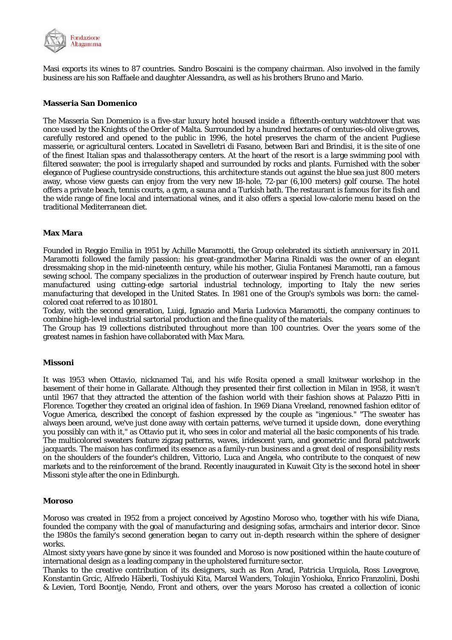

Masi exports its wines to 87 countries. Sandro Boscaini is the company chairman. Also involved in the family business are his son Raffaele and daughter Alessandra, as well as his brothers Bruno and Mario.

#### **Masseria San Domenico**

The Masseria San Domenico is a five-star luxury hotel housed inside a fifteenth-century watchtower that was once used by the Knights of the Order of Malta. Surrounded by a hundred hectares of centuries-old olive groves, carefully restored and opened to the public in 1996, the hotel preserves the charm of the ancient Pugliese masserie, or agricultural centers. Located in Savelletri di Fasano, between Bari and Brindisi, it is the site of one of the finest Italian spas and thalassotherapy centers. At the heart of the resort is a large swimming pool with filtered seawater; the pool is irregularly shaped and surrounded by rocks and plants. Furnished with the sober elegance of Pugliese countryside constructions, this architecture stands out against the blue sea just 800 meters away, whose view guests can enjoy from the very new 18-hole, 72-par (6,100 meters) golf course. The hotel offers a private beach, tennis courts, a gym, a sauna and a Turkish bath. The restaurant is famous for its fish and the wide range of fine local and international wines, and it also offers a special low-calorie menu based on the traditional Mediterranean diet.

## **Max Mara**

Founded in Reggio Emilia in 1951 by Achille Maramotti, the Group celebrated its sixtieth anniversary in 2011. Maramotti followed the family passion: his great-grandmother Marina Rinaldi was the owner of an elegant dressmaking shop in the mid-nineteenth century, while his mother, Giulia Fontanesi Maramotti, ran a famous sewing school. The company specializes in the production of outerwear inspired by French haute couture, but manufactured using cutting-edge sartorial industrial technology, importing to Italy the new series manufacturing that developed in the United States. In 1981 one of the Group's symbols was born: the camelcolored coat referred to as 101801.

Today, with the second generation, Luigi, Ignazio and Maria Ludovica Maramotti, the company continues to combine high-level industrial sartorial production and the fine quality of the materials.

The Group has 19 collections distributed throughout more than 100 countries. Over the years some of the greatest names in fashion have collaborated with Max Mara.

#### **Missoni**

It was 1953 when Ottavio, nicknamed Tai, and his wife Rosita opened a small knitwear workshop in the basement of their home in Gallarate. Although they presented their first collection in Milan in 1958, it wasn't until 1967 that they attracted the attention of the fashion world with their fashion shows at Palazzo Pitti in Florence. Together they created an original idea of fashion. In 1969 Diana Vreeland, renowned fashion editor of Vogue America, described the concept of fashion expressed by the couple as "ingenious." "The sweater has always been around, we've just done away with certain patterns, we've turned it upside down, done everything you possibly can with it," as Ottavio put it, who sees in color and material all the basic components of his trade. The multicolored sweaters feature zigzag patterns, waves, iridescent yarn, and geometric and floral patchwork jacquards. The maison has confirmed its essence as a family-run business and a great deal of responsibility rests on the shoulders of the founder's children, Vittorio, Luca and Angela, who contribute to the conquest of new markets and to the reinforcement of the brand. Recently inaugurated in Kuwait City is the second hotel in sheer Missoni style after the one in Edinburgh.

#### **Moroso**

Moroso was created in 1952 from a project conceived by Agostino Moroso who, together with his wife Diana, founded the company with the goal of manufacturing and designing sofas, armchairs and interior decor. Since the 1980s the family's second generation began to carry out in-depth research within the sphere of designer works.

Almost sixty years have gone by since it was founded and Moroso is now positioned within the haute couture of international design as a leading company in the upholstered furniture sector.

Thanks to the creative contribution of its designers, such as Ron Arad, Patricia Urquiola, Ross Lovegrove, Konstantin Grcic, Alfredo Häberli, Toshiyuki Kita, Marcel Wanders, Tokujin Yoshioka, Enrico Franzolini, Doshi & Levien, Tord Boontje, Nendo, Front and others, over the years Moroso has created a collection of iconic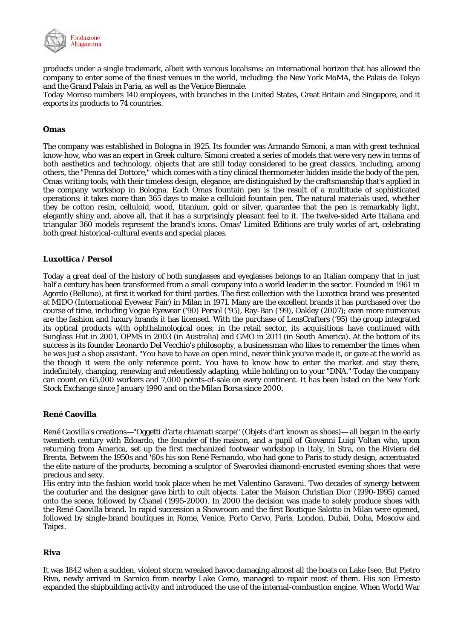

products under a single trademark, albeit with various localisms: an international horizon that has allowed the company to enter some of the finest venues in the world, including: the New York MoMA, the Palais de Tokyo and the Grand Palais in Paria, as well as the Venice Biennale.

Today Moroso numbers 140 employees, with branches in the United States, Great Britain and Singapore, and it exports its products to 74 countries.

## **Omas**

The company was established in Bologna in 1925. Its founder was Armando Simoni, a man with great technical know-how, who was an expert in Greek culture. Simoni created a series of models that were very new in terms of both aesthetics and technology, objects that are still today considered to be great classics, including, among others, the "Penna del Dottore," which comes with a tiny clinical thermometer hidden inside the body of the pen. Omas writing tools, with their timeless design, elegance, are distinguished by the craftsmanship that's applied in the company workshop in Bologna. Each Omas fountain pen is the result of a multitude of sophisticated operations: it takes more than 365 days to make a celluloid fountain pen. The natural materials used, whether they be cotton resin, celluloid, wood, titanium, gold or silver, guarantee that the pen is remarkably light, elegantly shiny and, above all, that it has a surprisingly pleasant feel to it. The twelve-sided Arte Italiana and triangular 360 models represent the brand's icons. Omas' Limited Editions are truly works of art, celebrating both great historical-cultural events and special places.

## **Luxottica / Persol**

Today a great deal of the history of both sunglasses and eyeglasses belongs to an Italian company that in just half a century has been transformed from a small company into a world leader in the sector. Founded in 1961 in Agordo (Belluno), at first it worked for third parties. The first collection with the Luxottica brand was presented at MIDO (International Eyewear Fair) in Milan in 1971. Many are the excellent brands it has purchased over the course of time, including Vogue Eyewear ('90) Persol ('95), Ray-Ban ('99), Oakley (2007); even more numerous are the fashion and luxury brands it has licensed. With the purchase of LensCrafters ('95) the group integrated its optical products with ophthalmological ones; in the retail sector, its acquisitions have continued with Sunglass Hut in 2001, OPMS in 2003 (in Australia) and GMO in 2011 (in South America). At the bottom of its success is its founder Leonardo Del Vecchio's philosophy, a businessman who likes to remember the times when he was just a shop assistant. "You have to have an open mind, never think you've made it, or gaze at the world as the though it were the only reference point. You have to know how to enter the market and stay there, indefinitely, changing, renewing and relentlessly adapting, while holding on to your "DNA." Today the company can count on 65,000 workers and 7,000 points-of-sale on every continent. It has been listed on the New York Stock Exchange since January 1990 and on the Milan Borsa since 2000.

## **René Caovilla**

René Caovilla's creations—"Oggetti d'arte chiamati scarpe" (Objets d'art known as shoes)— all began in the early twentieth century with Edoardo, the founder of the maison, and a pupil of Giovanni Luigi Voltan who, upon returning from America, set up the first mechanized footwear workshop in Italy, in Stra, on the Riviera del Brenta. Between the 1950s and '60s his son René Fernando, who had gone to Paris to study design, accentuated the elite nature of the products, becoming a sculptor of Swarovksi diamond-encrusted evening shoes that were precious and sexy.

His entry into the fashion world took place when he met Valentino Garavani. Two decades of synergy between the couturier and the designer gave birth to cult objects. Later the Maison Christian Dior (1990-1995) camed onto the scene, followed by Chanel (1995-2000). In 2000 the decision was made to solely produce shoes with the René Caovilla brand. In rapid succession a Showroom and the first Boutique Salotto in Milan were opened, followed by single-brand boutiques in Rome, Venice, Porto Cervo, Paris, London, Dubai, Doha, Moscow and Taipei.

## **Riva**

It was 1842 when a sudden, violent storm wreaked havoc damaging almost all the boats on Lake Iseo. But Pietro Riva, newly arrived in Sarnico from nearby Lake Como, managed to repair most of them. His son Ernesto expanded the shipbuilding activity and introduced the use of the internal-combustion engine. When World War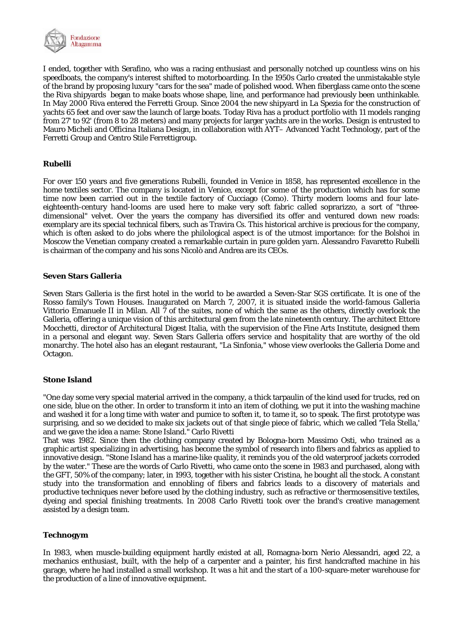

I ended, together with Serafino, who was a racing enthusiast and personally notched up countless wins on his speedboats, the company's interest shifted to motorboarding. In the 1950s Carlo created the unmistakable style of the brand by proposing luxury "cars for the sea" made of polished wood. When fiberglass came onto the scene the Riva shipyards began to make boats whose shape, line, and performance had previously been unthinkable. In May 2000 Riva entered the Ferretti Group. Since 2004 the new shipyard in La Spezia for the construction of yachts 65 feet and over saw the launch of large boats. Today Riva has a product portfolio with 11 models ranging from 27' to 92' (from 8 to 28 meters) and many projects for larger yachts are in the works. Design is entrusted to Mauro Micheli and Officina Italiana Design, in collaboration with AYT– Advanced Yacht Technology, part of the Ferretti Group and Centro Stile Ferrettigroup.

## **Rubelli**

For over 150 years and five generations Rubelli, founded in Venice in 1858, has represented excellence in the home textiles sector. The company is located in Venice, except for some of the production which has for some time now been carried out in the textile factory of Cucciago (Como). Thirty modern looms and four lateeighteenth-century hand-looms are used here to make very soft fabric called soprarizzo, a sort of "threedimensional" velvet. Over the years the company has diversified its offer and ventured down new roads: exemplary are its special technical fibers, such as Travira Cs. This historical archive is precious for the company, which is often asked to do jobs where the philological aspect is of the utmost importance: for the Bolshoi in Moscow the Venetian company created a remarkable curtain in pure golden yarn. Alessandro Favaretto Rubelli is chairman of the company and his sons Nicolò and Andrea are its CEOs.

#### **Seven Stars Galleria**

Seven Stars Galleria is the first hotel in the world to be awarded a Seven-Star SGS certificate. It is one of the Rosso family's Town Houses. Inaugurated on March 7, 2007, it is situated inside the world-famous Galleria Vittorio Emanuele II in Milan. All 7 of the suites, none of which the same as the others, directly overlook the Galleria, offering a unique vision of this architectural gem from the late nineteenth century. The architect Ettore Mocchetti, director of Architectural Digest Italia, with the supervision of the Fine Arts Institute, designed them in a personal and elegant way. Seven Stars Galleria offers service and hospitality that are worthy of the old monarchy. The hotel also has an elegant restaurant, "La Sinfonia," whose view overlooks the Galleria Dome and Octagon.

## **Stone Island**

"One day some very special material arrived in the company, a thick tarpaulin of the kind used for trucks, red on one side, blue on the other. In order to transform it into an item of clothing, we put it into the washing machine and washed it for a long time with water and pumice to soften it, to tame it, so to speak. The first prototype was surprising, and so we decided to make six jackets out of that single piece of fabric, which we called 'Tela Stella,' and we gave the idea a name: Stone Island." Carlo Rivetti

That was 1982. Since then the clothing company created by Bologna-born Massimo Osti, who trained as a graphic artist specializing in advertising, has become the symbol of research into fibers and fabrics as applied to innovative design. "Stone Island has a marine-like quality, it reminds you of the old waterproof jackets corroded by the water." These are the words of Carlo Rivetti, who came onto the scene in 1983 and purchased, along with the GFT, 50% of the company; later, in 1993, together with his sister Cristina, he bought all the stock. A constant study into the transformation and ennobling of fibers and fabrics leads to a discovery of materials and productive techniques never before used by the clothing industry, such as refractive or thermosensitive textiles, dyeing and special finishing treatments. In 2008 Carlo Rivetti took over the brand's creative management assisted by a design team.

## **Technogym**

In 1983, when muscle-building equipment hardly existed at all, Romagna-born Nerio Alessandri, aged 22, a mechanics enthusiast, built, with the help of a carpenter and a painter, his first handcrafted machine in his garage, where he had installed a small workshop. It was a hit and the start of a 100-square-meter warehouse for the production of a line of innovative equipment.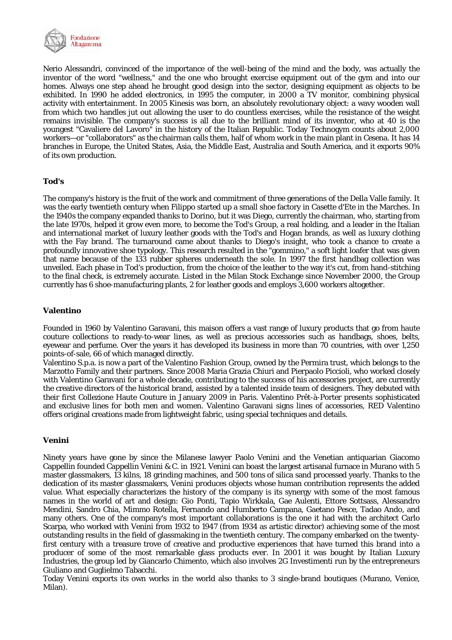

Nerio Alessandri, convinced of the importance of the well-being of the mind and the body, was actually the inventor of the word "wellness," and the one who brought exercise equipment out of the gym and into our homes. Always one step ahead he brought good design into the sector, designing equipment as objects to be exhibited. In 1990 he added electronics, in 1995 the computer, in 2000 a TV monitor, combining physical activity with entertainment. In 2005 Kinesis was born, an absolutely revolutionary object: a wavy wooden wall from which two handles jut out allowing the user to do countless exercises, while the resistance of the weight remains invisible. The company's success is all due to the brilliant mind of its inventor, who at 40 is the youngest "Cavaliere del Lavoro" in the history of the Italian Republic. Today Technogym counts about 2,000 workers—or "collaborators" as the chairman calls them, half of whom work in the main plant in Cesena. It has 14 branches in Europe, the United States, Asia, the Middle East, Australia and South America, and it exports 90% of its own production.

## **Tod's**

The company's history is the fruit of the work and commitment of three generations of the Della Valle family. It was the early twentieth century when Filippo started up a small shoe factory in Casette d'Ete in the Marches. In the 1940s the company expanded thanks to Dorino, but it was Diego, currently the chairman, who, starting from the late 1970s, helped it grow even more, to become the Tod's Group, a real holding, and a leader in the Italian and international market of luxury leather goods with the Tod's and Hogan brands, as well as luxury clothing with the Fay brand. The turnaround came about thanks to Diego's insight, who took a chance to create a profoundly innovative shoe typology. This research resulted in the "gommino," a soft light loafer that was given that name because of the 133 rubber spheres underneath the sole. In 1997 the first handbag collection was unveiled. Each phase in Tod's production, from the choice of the leather to the way it's cut, from hand-stitching to the final check, is extremely accurate. Listed in the Milan Stock Exchange since November 2000, the Group currently has 6 shoe-manufacturing plants, 2 for leather goods and employs 3,600 workers altogether.

## **Valentino**

Founded in 1960 by Valentino Garavani, this maison offers a vast range of luxury products that go from haute couture collections to ready-to-wear lines, as well as precious accessories such as handbags, shoes, belts, eyewear and perfume. Over the years it has developed its business in more than 70 countries, with over 1,250 points-of-sale, 66 of which managed directly.

Valentino S.p.a. is now a part of the Valentino Fashion Group, owned by the Permira trust, which belongs to the Marzotto Family and their partners. Since 2008 Maria Grazia Chiuri and Pierpaolo Piccioli, who worked closely with Valentino Garavani for a whole decade, contributing to the success of his accessories project, are currently the creative directors of the historical brand, assisted by a talented inside team of designers. They debuted with their first Collezione Haute Couture in January 2009 in Paris. Valentino Prêt-à-Porter presents sophisticated and exclusive lines for both men and women. Valentino Garavani signs lines of accessories, RED Valentino offers original creations made from lightweight fabric, using special techniques and details.

## **Venini**

Ninety years have gone by since the Milanese lawyer Paolo Venini and the Venetian antiquarian Giacomo Cappellin founded Cappellin Venini & C. in 1921. Venini can boast the largest artisanal furnace in Murano with 5 master glassmakers, 13 kilns, 18 grinding machines, and 500 tons of silica sand processed yearly. Thanks to the dedication of its master glassmakers, Venini produces objects whose human contribution represents the added value. What especially characterizes the history of the company is its synergy with some of the most famous names in the world of art and design: Gio Ponti, Tapio Wirkkala, Gae Aulenti, Ettore Sottsass, Alessandro Mendini, Sandro Chia, Mimmo Rotella, Fernando and Humberto Campana, Gaetano Pesce, Tadao Ando, and many others. One of the company's most important collaborations is the one it had with the architect Carlo Scarpa, who worked with Venini from 1932 to 1947 (from 1934 as artistic director) achieving some of the most outstanding results in the field of glassmaking in the twentieth century. The company embarked on the twentyfirst century with a treasure trove of creative and productive experiences that have turned this brand into a producer of some of the most remarkable glass products ever. In 2001 it was bought by Italian Luxury Industries, the group led by Giancarlo Chimento, which also involves 2G Investimenti run by the entrepreneurs Giuliano and Guglielmo Tabacchi.

Today Venini exports its own works in the world also thanks to 3 single-brand boutiques (Murano, Venice, Milan).